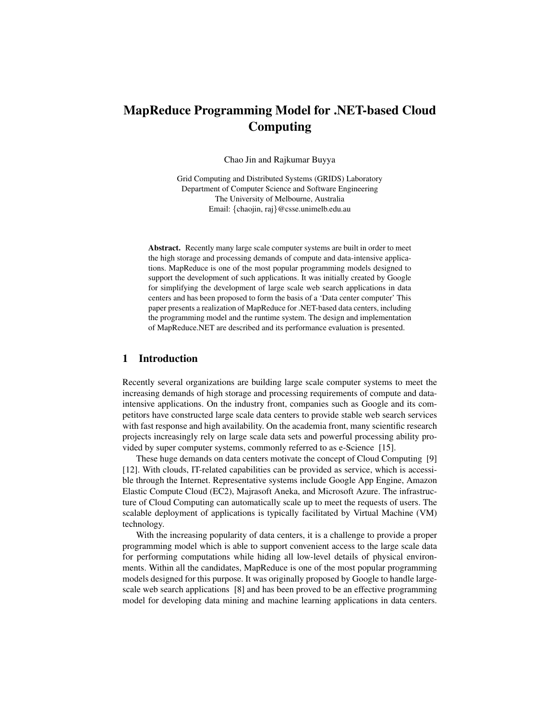# MapReduce Programming Model for .NET-based Cloud Computing

Chao Jin and Rajkumar Buyya

Grid Computing and Distributed Systems (GRIDS) Laboratory Department of Computer Science and Software Engineering The University of Melbourne, Australia Email: {chaojin, raj}@csse.unimelb.edu.au

Abstract. Recently many large scale computer systems are built in order to meet the high storage and processing demands of compute and data-intensive applications. MapReduce is one of the most popular programming models designed to support the development of such applications. It was initially created by Google for simplifying the development of large scale web search applications in data centers and has been proposed to form the basis of a 'Data center computer' This paper presents a realization of MapReduce for .NET-based data centers, including the programming model and the runtime system. The design and implementation of MapReduce.NET are described and its performance evaluation is presented.

## 1 Introduction

Recently several organizations are building large scale computer systems to meet the increasing demands of high storage and processing requirements of compute and dataintensive applications. On the industry front, companies such as Google and its competitors have constructed large scale data centers to provide stable web search services with fast response and high availability. On the academia front, many scientific research projects increasingly rely on large scale data sets and powerful processing ability provided by super computer systems, commonly referred to as e-Science [15].

These huge demands on data centers motivate the concept of Cloud Computing [9] [12]. With clouds, IT-related capabilities can be provided as service, which is accessible through the Internet. Representative systems include Google App Engine, Amazon Elastic Compute Cloud (EC2), Majrasoft Aneka, and Microsoft Azure. The infrastructure of Cloud Computing can automatically scale up to meet the requests of users. The scalable deployment of applications is typically facilitated by Virtual Machine (VM) technology.

With the increasing popularity of data centers, it is a challenge to provide a proper programming model which is able to support convenient access to the large scale data for performing computations while hiding all low-level details of physical environments. Within all the candidates, MapReduce is one of the most popular programming models designed for this purpose. It was originally proposed by Google to handle largescale web search applications [8] and has been proved to be an effective programming model for developing data mining and machine learning applications in data centers.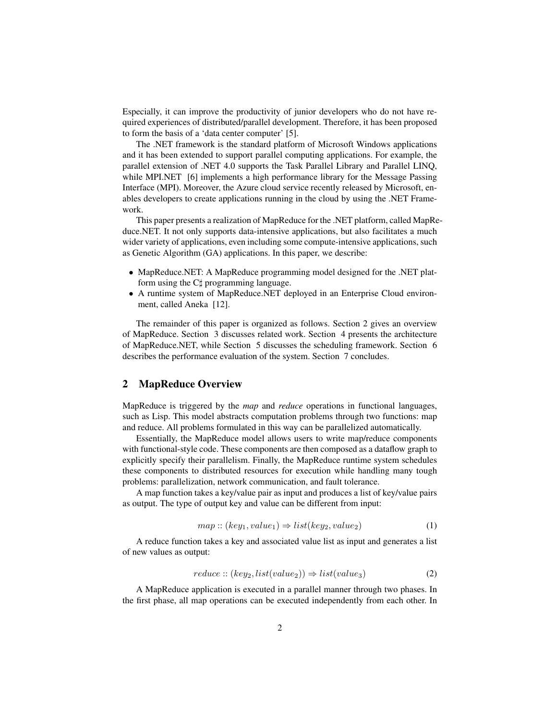Especially, it can improve the productivity of junior developers who do not have required experiences of distributed/parallel development. Therefore, it has been proposed to form the basis of a 'data center computer' [5].

The .NET framework is the standard platform of Microsoft Windows applications and it has been extended to support parallel computing applications. For example, the parallel extension of .NET 4.0 supports the Task Parallel Library and Parallel LINQ, while MPI.NET [6] implements a high performance library for the Message Passing Interface (MPI). Moreover, the Azure cloud service recently released by Microsoft, enables developers to create applications running in the cloud by using the .NET Framework.

This paper presents a realization of MapReduce for the .NET platform, called MapReduce.NET. It not only supports data-intensive applications, but also facilitates a much wider variety of applications, even including some compute-intensive applications, such as Genetic Algorithm (GA) applications. In this paper, we describe:

- MapReduce.NET: A MapReduce programming model designed for the .NET platform using the C<sup> $\uparrow$ </sup> programming language.
- A runtime system of MapReduce.NET deployed in an Enterprise Cloud environment, called Aneka [12].

The remainder of this paper is organized as follows. Section 2 gives an overview of MapReduce. Section 3 discusses related work. Section 4 presents the architecture of MapReduce.NET, while Section 5 discusses the scheduling framework. Section 6 describes the performance evaluation of the system. Section 7 concludes.

## 2 MapReduce Overview

MapReduce is triggered by the *map* and *reduce* operations in functional languages, such as Lisp. This model abstracts computation problems through two functions: map and reduce. All problems formulated in this way can be parallelized automatically.

Essentially, the MapReduce model allows users to write map/reduce components with functional-style code. These components are then composed as a dataflow graph to explicitly specify their parallelism. Finally, the MapReduce runtime system schedules these components to distributed resources for execution while handling many tough problems: parallelization, network communication, and fault tolerance.

A map function takes a key/value pair as input and produces a list of key/value pairs as output. The type of output key and value can be different from input:

$$
map :: (key_1, value_1) \Rightarrow list(key_2, value_2)
$$
 (1)

A reduce function takes a key and associated value list as input and generates a list of new values as output:

$$
reduce :: (key_2, list(value_2)) \Rightarrow list(value_3)
$$
\n<sup>(2)</sup>

A MapReduce application is executed in a parallel manner through two phases. In the first phase, all map operations can be executed independently from each other. In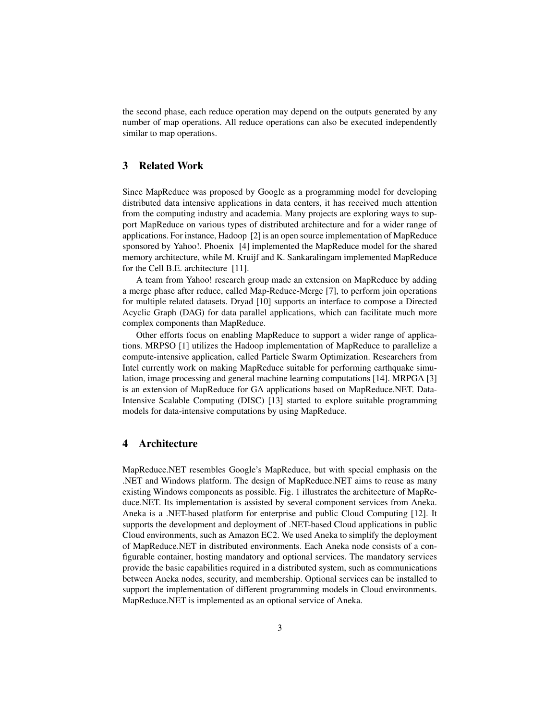the second phase, each reduce operation may depend on the outputs generated by any number of map operations. All reduce operations can also be executed independently similar to map operations.

# 3 Related Work

Since MapReduce was proposed by Google as a programming model for developing distributed data intensive applications in data centers, it has received much attention from the computing industry and academia. Many projects are exploring ways to support MapReduce on various types of distributed architecture and for a wider range of applications. For instance, Hadoop [2] is an open source implementation of MapReduce sponsored by Yahoo!. Phoenix [4] implemented the MapReduce model for the shared memory architecture, while M. Kruijf and K. Sankaralingam implemented MapReduce for the Cell B.E. architecture [11].

A team from Yahoo! research group made an extension on MapReduce by adding a merge phase after reduce, called Map-Reduce-Merge [7], to perform join operations for multiple related datasets. Dryad [10] supports an interface to compose a Directed Acyclic Graph (DAG) for data parallel applications, which can facilitate much more complex components than MapReduce.

Other efforts focus on enabling MapReduce to support a wider range of applications. MRPSO [1] utilizes the Hadoop implementation of MapReduce to parallelize a compute-intensive application, called Particle Swarm Optimization. Researchers from Intel currently work on making MapReduce suitable for performing earthquake simulation, image processing and general machine learning computations [14]. MRPGA [3] is an extension of MapReduce for GA applications based on MapReduce.NET. Data-Intensive Scalable Computing (DISC) [13] started to explore suitable programming models for data-intensive computations by using MapReduce.

## 4 Architecture

MapReduce.NET resembles Google's MapReduce, but with special emphasis on the .NET and Windows platform. The design of MapReduce.NET aims to reuse as many existing Windows components as possible. Fig. 1 illustrates the architecture of MapReduce.NET. Its implementation is assisted by several component services from Aneka. Aneka is a .NET-based platform for enterprise and public Cloud Computing [12]. It supports the development and deployment of .NET-based Cloud applications in public Cloud environments, such as Amazon EC2. We used Aneka to simplify the deployment of MapReduce.NET in distributed environments. Each Aneka node consists of a configurable container, hosting mandatory and optional services. The mandatory services provide the basic capabilities required in a distributed system, such as communications between Aneka nodes, security, and membership. Optional services can be installed to support the implementation of different programming models in Cloud environments. MapReduce.NET is implemented as an optional service of Aneka.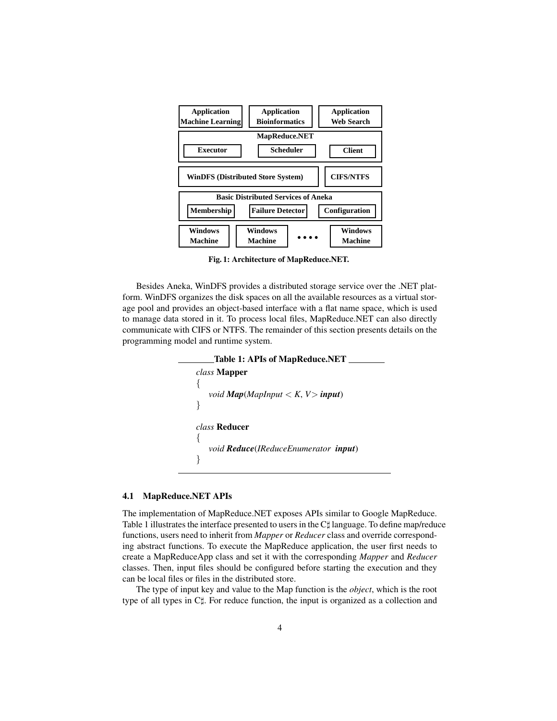

Fig. 1: Architecture of MapReduce.NET.

Besides Aneka, WinDFS provides a distributed storage service over the .NET platform. WinDFS organizes the disk spaces on all the available resources as a virtual storage pool and provides an object-based interface with a flat name space, which is used to manage data stored in it. To process local files, MapReduce.NET can also directly communicate with CIFS or NTFS. The remainder of this section presents details on the programming model and runtime system.



## 4.1 MapReduce.NET APIs

The implementation of MapReduce.NET exposes APIs similar to Google MapReduce. Table 1 illustrates the interface presented to users in the  $C_{\mu}^{\mu}$  language. To define map/reduce functions, users need to inherit from *Mapper* or *Reducer* class and override corresponding abstract functions. To execute the MapReduce application, the user first needs to create a MapReduceApp class and set it with the corresponding *Mapper* and *Reducer* classes. Then, input files should be configured before starting the execution and they can be local files or files in the distributed store.

The type of input key and value to the Map function is the *object*, which is the root type of all types in  $C$  $\sharp$ . For reduce function, the input is organized as a collection and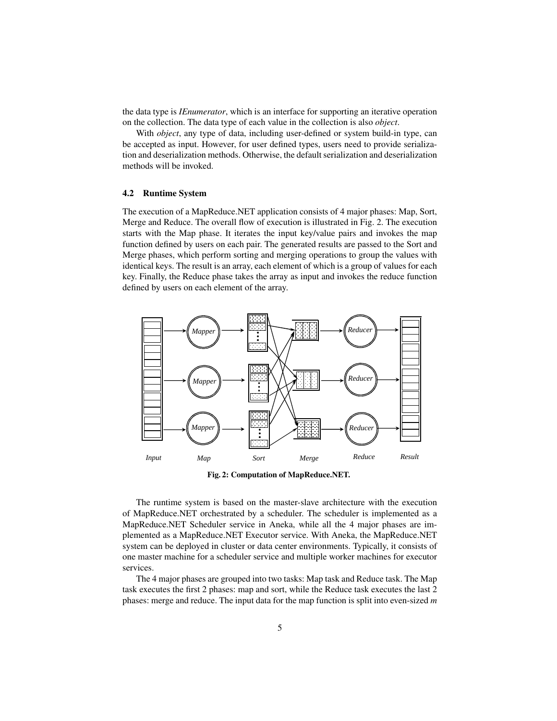the data type is *IEnumerator*, which is an interface for supporting an iterative operation on the collection. The data type of each value in the collection is also *object*.

With *object*, any type of data, including user-defined or system build-in type, can be accepted as input. However, for user defined types, users need to provide serialization and deserialization methods. Otherwise, the default serialization and deserialization methods will be invoked.

#### 4.2 Runtime System

The execution of a MapReduce.NET application consists of 4 major phases: Map, Sort, Merge and Reduce. The overall flow of execution is illustrated in Fig. 2. The execution starts with the Map phase. It iterates the input key/value pairs and invokes the map function defined by users on each pair. The generated results are passed to the Sort and Merge phases, which perform sorting and merging operations to group the values with identical keys. The result is an array, each element of which is a group of values for each key. Finally, the Reduce phase takes the array as input and invokes the reduce function defined by users on each element of the array.



Fig. 2: Computation of MapReduce.NET.

The runtime system is based on the master-slave architecture with the execution of MapReduce.NET orchestrated by a scheduler. The scheduler is implemented as a MapReduce.NET Scheduler service in Aneka, while all the 4 major phases are implemented as a MapReduce.NET Executor service. With Aneka, the MapReduce.NET system can be deployed in cluster or data center environments. Typically, it consists of one master machine for a scheduler service and multiple worker machines for executor services.

The 4 major phases are grouped into two tasks: Map task and Reduce task. The Map task executes the first 2 phases: map and sort, while the Reduce task executes the last 2 phases: merge and reduce. The input data for the map function is split into even-sized *m*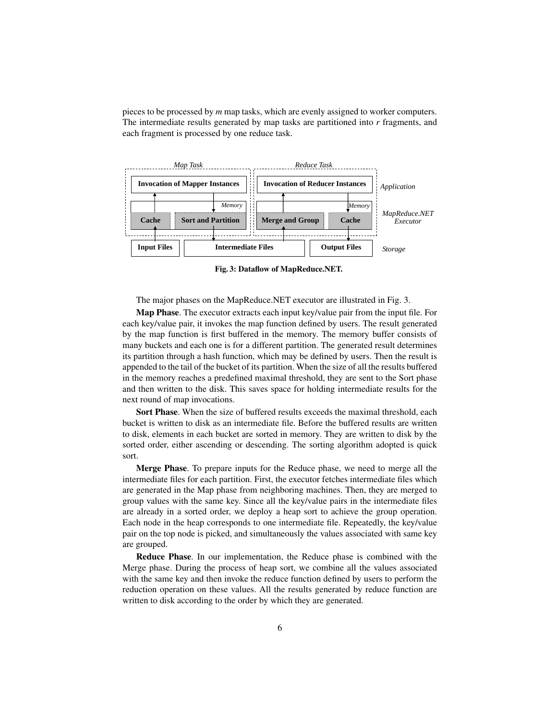pieces to be processed by *m* map tasks, which are evenly assigned to worker computers. The intermediate results generated by map tasks are partitioned into *r* fragments, and each fragment is processed by one reduce task.



Fig. 3: Dataflow of MapReduce.NET.

The major phases on the MapReduce.NET executor are illustrated in Fig. 3.

Map Phase. The executor extracts each input key/value pair from the input file. For each key/value pair, it invokes the map function defined by users. The result generated by the map function is first buffered in the memory. The memory buffer consists of many buckets and each one is for a different partition. The generated result determines its partition through a hash function, which may be defined by users. Then the result is appended to the tail of the bucket of its partition. When the size of all the results buffered in the memory reaches a predefined maximal threshold, they are sent to the Sort phase and then written to the disk. This saves space for holding intermediate results for the next round of map invocations.

Sort Phase. When the size of buffered results exceeds the maximal threshold, each bucket is written to disk as an intermediate file. Before the buffered results are written to disk, elements in each bucket are sorted in memory. They are written to disk by the sorted order, either ascending or descending. The sorting algorithm adopted is quick sort.

Merge Phase. To prepare inputs for the Reduce phase, we need to merge all the intermediate files for each partition. First, the executor fetches intermediate files which are generated in the Map phase from neighboring machines. Then, they are merged to group values with the same key. Since all the key/value pairs in the intermediate files are already in a sorted order, we deploy a heap sort to achieve the group operation. Each node in the heap corresponds to one intermediate file. Repeatedly, the key/value pair on the top node is picked, and simultaneously the values associated with same key are grouped.

Reduce Phase. In our implementation, the Reduce phase is combined with the Merge phase. During the process of heap sort, we combine all the values associated with the same key and then invoke the reduce function defined by users to perform the reduction operation on these values. All the results generated by reduce function are written to disk according to the order by which they are generated.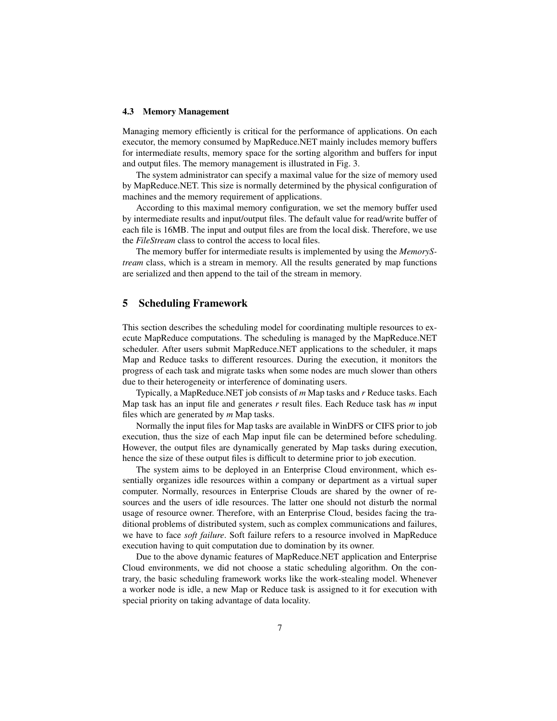#### 4.3 Memory Management

Managing memory efficiently is critical for the performance of applications. On each executor, the memory consumed by MapReduce.NET mainly includes memory buffers for intermediate results, memory space for the sorting algorithm and buffers for input and output files. The memory management is illustrated in Fig. 3.

The system administrator can specify a maximal value for the size of memory used by MapReduce.NET. This size is normally determined by the physical configuration of machines and the memory requirement of applications.

According to this maximal memory configuration, we set the memory buffer used by intermediate results and input/output files. The default value for read/write buffer of each file is 16MB. The input and output files are from the local disk. Therefore, we use the *FileStream* class to control the access to local files.

The memory buffer for intermediate results is implemented by using the *MemoryStream* class, which is a stream in memory. All the results generated by map functions are serialized and then append to the tail of the stream in memory.

## 5 Scheduling Framework

This section describes the scheduling model for coordinating multiple resources to execute MapReduce computations. The scheduling is managed by the MapReduce.NET scheduler. After users submit MapReduce.NET applications to the scheduler, it maps Map and Reduce tasks to different resources. During the execution, it monitors the progress of each task and migrate tasks when some nodes are much slower than others due to their heterogeneity or interference of dominating users.

Typically, a MapReduce.NET job consists of *m* Map tasks and *r* Reduce tasks. Each Map task has an input file and generates *r* result files. Each Reduce task has *m* input files which are generated by *m* Map tasks.

Normally the input files for Map tasks are available in WinDFS or CIFS prior to job execution, thus the size of each Map input file can be determined before scheduling. However, the output files are dynamically generated by Map tasks during execution, hence the size of these output files is difficult to determine prior to job execution.

The system aims to be deployed in an Enterprise Cloud environment, which essentially organizes idle resources within a company or department as a virtual super computer. Normally, resources in Enterprise Clouds are shared by the owner of resources and the users of idle resources. The latter one should not disturb the normal usage of resource owner. Therefore, with an Enterprise Cloud, besides facing the traditional problems of distributed system, such as complex communications and failures, we have to face *soft failure*. Soft failure refers to a resource involved in MapReduce execution having to quit computation due to domination by its owner.

Due to the above dynamic features of MapReduce.NET application and Enterprise Cloud environments, we did not choose a static scheduling algorithm. On the contrary, the basic scheduling framework works like the work-stealing model. Whenever a worker node is idle, a new Map or Reduce task is assigned to it for execution with special priority on taking advantage of data locality.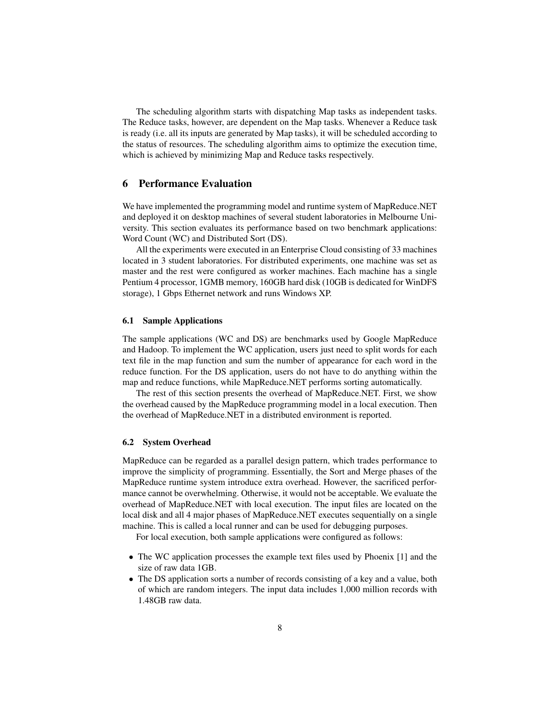The scheduling algorithm starts with dispatching Map tasks as independent tasks. The Reduce tasks, however, are dependent on the Map tasks. Whenever a Reduce task is ready (i.e. all its inputs are generated by Map tasks), it will be scheduled according to the status of resources. The scheduling algorithm aims to optimize the execution time, which is achieved by minimizing Map and Reduce tasks respectively.

## 6 Performance Evaluation

We have implemented the programming model and runtime system of MapReduce.NET and deployed it on desktop machines of several student laboratories in Melbourne University. This section evaluates its performance based on two benchmark applications: Word Count (WC) and Distributed Sort (DS).

All the experiments were executed in an Enterprise Cloud consisting of 33 machines located in 3 student laboratories. For distributed experiments, one machine was set as master and the rest were configured as worker machines. Each machine has a single Pentium 4 processor, 1GMB memory, 160GB hard disk (10GB is dedicated for WinDFS storage), 1 Gbps Ethernet network and runs Windows XP.

#### 6.1 Sample Applications

The sample applications (WC and DS) are benchmarks used by Google MapReduce and Hadoop. To implement the WC application, users just need to split words for each text file in the map function and sum the number of appearance for each word in the reduce function. For the DS application, users do not have to do anything within the map and reduce functions, while MapReduce.NET performs sorting automatically.

The rest of this section presents the overhead of MapReduce.NET. First, we show the overhead caused by the MapReduce programming model in a local execution. Then the overhead of MapReduce.NET in a distributed environment is reported.

#### 6.2 System Overhead

MapReduce can be regarded as a parallel design pattern, which trades performance to improve the simplicity of programming. Essentially, the Sort and Merge phases of the MapReduce runtime system introduce extra overhead. However, the sacrificed performance cannot be overwhelming. Otherwise, it would not be acceptable. We evaluate the overhead of MapReduce.NET with local execution. The input files are located on the local disk and all 4 major phases of MapReduce.NET executes sequentially on a single machine. This is called a local runner and can be used for debugging purposes.

For local execution, both sample applications were configured as follows:

- The WC application processes the example text files used by Phoenix [1] and the size of raw data 1GB.
- The DS application sorts a number of records consisting of a key and a value, both of which are random integers. The input data includes 1,000 million records with 1.48GB raw data.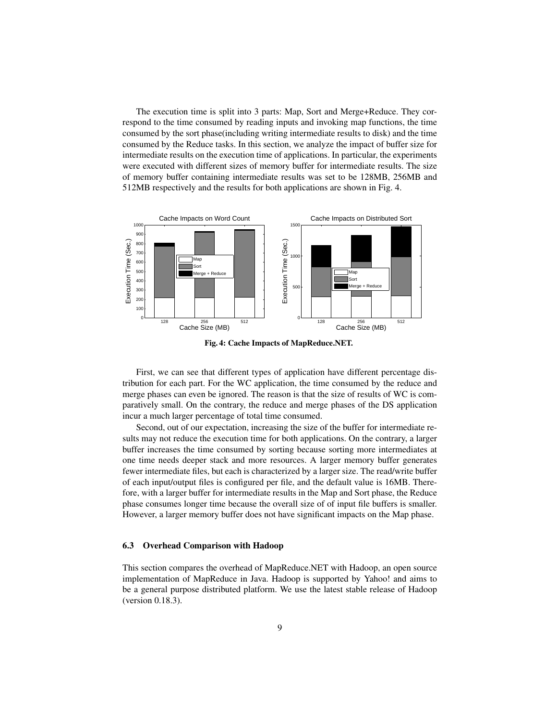The execution time is split into 3 parts: Map, Sort and Merge+Reduce. They correspond to the time consumed by reading inputs and invoking map functions, the time consumed by the sort phase(including writing intermediate results to disk) and the time consumed by the Reduce tasks. In this section, we analyze the impact of buffer size for intermediate results on the execution time of applications. In particular, the experiments were executed with different sizes of memory buffer for intermediate results. The size of memory buffer containing intermediate results was set to be 128MB, 256MB and 512MB respectively and the results for both applications are shown in Fig. 4.



Fig. 4: Cache Impacts of MapReduce.NET.

First, we can see that different types of application have different percentage distribution for each part. For the WC application, the time consumed by the reduce and merge phases can even be ignored. The reason is that the size of results of WC is comparatively small. On the contrary, the reduce and merge phases of the DS application incur a much larger percentage of total time consumed.

Second, out of our expectation, increasing the size of the buffer for intermediate results may not reduce the execution time for both applications. On the contrary, a larger buffer increases the time consumed by sorting because sorting more intermediates at one time needs deeper stack and more resources. A larger memory buffer generates fewer intermediate files, but each is characterized by a larger size. The read/write buffer of each input/output files is configured per file, and the default value is 16MB. Therefore, with a larger buffer for intermediate results in the Map and Sort phase, the Reduce phase consumes longer time because the overall size of of input file buffers is smaller. However, a larger memory buffer does not have significant impacts on the Map phase.

#### 6.3 Overhead Comparison with Hadoop

This section compares the overhead of MapReduce.NET with Hadoop, an open source implementation of MapReduce in Java. Hadoop is supported by Yahoo! and aims to be a general purpose distributed platform. We use the latest stable release of Hadoop (version 0.18.3).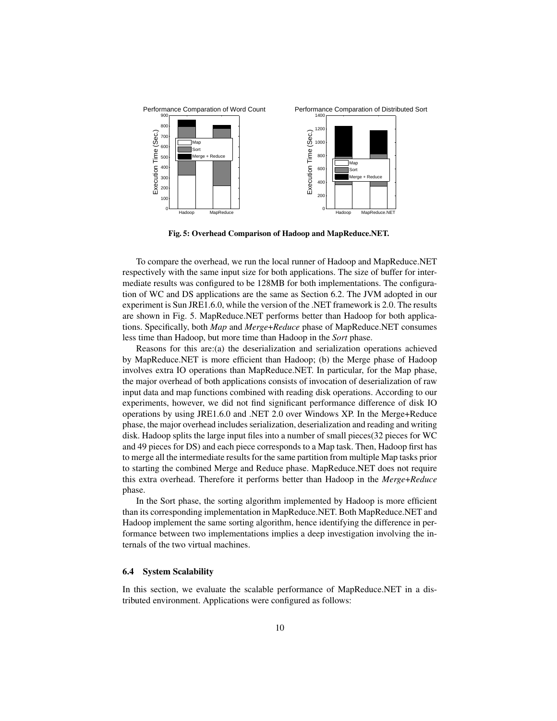

Fig. 5: Overhead Comparison of Hadoop and MapReduce.NET.

To compare the overhead, we run the local runner of Hadoop and MapReduce.NET respectively with the same input size for both applications. The size of buffer for intermediate results was configured to be 128MB for both implementations. The configuration of WC and DS applications are the same as Section 6.2. The JVM adopted in our experiment is Sun JRE1.6.0, while the version of the .NET framework is 2.0. The results are shown in Fig. 5. MapReduce.NET performs better than Hadoop for both applications. Specifically, both *Map* and *Merge*+*Reduce* phase of MapReduce.NET consumes less time than Hadoop, but more time than Hadoop in the *Sort* phase.

Reasons for this are:(a) the deserialization and serialization operations achieved by MapReduce.NET is more efficient than Hadoop; (b) the Merge phase of Hadoop involves extra IO operations than MapReduce.NET. In particular, for the Map phase, the major overhead of both applications consists of invocation of deserialization of raw input data and map functions combined with reading disk operations. According to our experiments, however, we did not find significant performance difference of disk IO operations by using JRE1.6.0 and .NET 2.0 over Windows XP. In the Merge+Reduce phase, the major overhead includes serialization, deserialization and reading and writing disk. Hadoop splits the large input files into a number of small pieces(32 pieces for WC and 49 pieces for DS) and each piece corresponds to a Map task. Then, Hadoop first has to merge all the intermediate results for the same partition from multiple Map tasks prior to starting the combined Merge and Reduce phase. MapReduce.NET does not require this extra overhead. Therefore it performs better than Hadoop in the *Merge*+*Reduce* phase.

In the Sort phase, the sorting algorithm implemented by Hadoop is more efficient than its corresponding implementation in MapReduce.NET. Both MapReduce.NET and Hadoop implement the same sorting algorithm, hence identifying the difference in performance between two implementations implies a deep investigation involving the internals of the two virtual machines.

#### 6.4 System Scalability

In this section, we evaluate the scalable performance of MapReduce.NET in a distributed environment. Applications were configured as follows: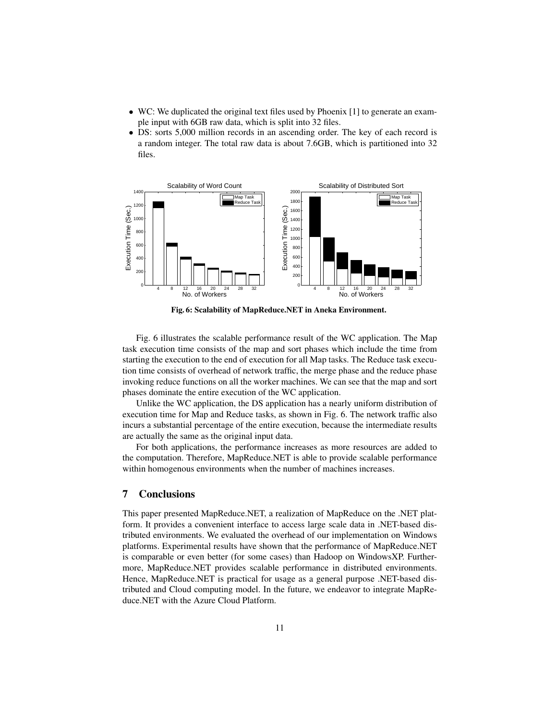- WC: We duplicated the original text files used by Phoenix [1] to generate an example input with 6GB raw data, which is split into 32 files.
- DS: sorts 5,000 million records in an ascending order. The key of each record is a random integer. The total raw data is about 7.6GB, which is partitioned into 32 files.



Fig. 6: Scalability of MapReduce.NET in Aneka Environment.

Fig. 6 illustrates the scalable performance result of the WC application. The Map task execution time consists of the map and sort phases which include the time from starting the execution to the end of execution for all Map tasks. The Reduce task execution time consists of overhead of network traffic, the merge phase and the reduce phase invoking reduce functions on all the worker machines. We can see that the map and sort phases dominate the entire execution of the WC application.

Unlike the WC application, the DS application has a nearly uniform distribution of execution time for Map and Reduce tasks, as shown in Fig. 6. The network traffic also incurs a substantial percentage of the entire execution, because the intermediate results are actually the same as the original input data.

For both applications, the performance increases as more resources are added to the computation. Therefore, MapReduce.NET is able to provide scalable performance within homogenous environments when the number of machines increases.

## 7 Conclusions

This paper presented MapReduce.NET, a realization of MapReduce on the .NET platform. It provides a convenient interface to access large scale data in .NET-based distributed environments. We evaluated the overhead of our implementation on Windows platforms. Experimental results have shown that the performance of MapReduce.NET is comparable or even better (for some cases) than Hadoop on WindowsXP. Furthermore, MapReduce.NET provides scalable performance in distributed environments. Hence, MapReduce.NET is practical for usage as a general purpose .NET-based distributed and Cloud computing model. In the future, we endeavor to integrate MapReduce.NET with the Azure Cloud Platform.